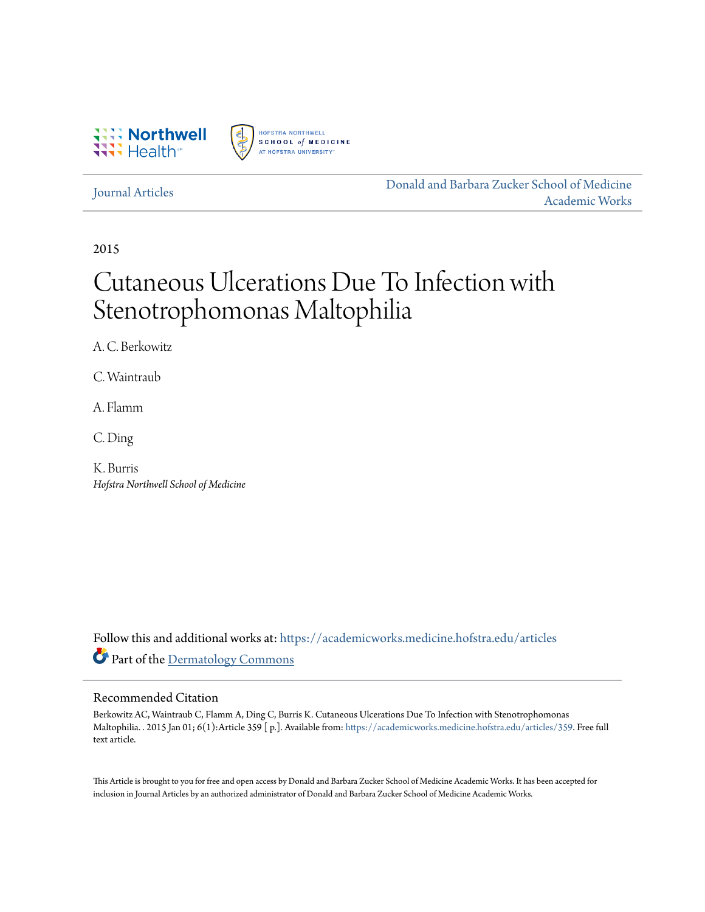



### [Journal Articles](https://academicworks.medicine.hofstra.edu/articles?utm_source=academicworks.medicine.hofstra.edu%2Farticles%2F359&utm_medium=PDF&utm_campaign=PDFCoverPages)

[Donald and Barbara Zucker School of Medicine](https://academicworks.medicine.hofstra.edu?utm_source=academicworks.medicine.hofstra.edu%2Farticles%2F359&utm_medium=PDF&utm_campaign=PDFCoverPages) [Academic Works](https://academicworks.medicine.hofstra.edu?utm_source=academicworks.medicine.hofstra.edu%2Farticles%2F359&utm_medium=PDF&utm_campaign=PDFCoverPages)

2015

# Cutaneous Ulcerations Due To Infection with Stenotrophomonas Maltophilia

A. C. Berkowitz

C. Waintraub

A. Flamm

C. Ding

K. Burris *Hofstra Northwell School of Medicine*

Follow this and additional works at: [https://academicworks.medicine.hofstra.edu/articles](https://academicworks.medicine.hofstra.edu/articles?utm_source=academicworks.medicine.hofstra.edu%2Farticles%2F359&utm_medium=PDF&utm_campaign=PDFCoverPages) Part of the [Dermatology Commons](http://network.bepress.com/hgg/discipline/684?utm_source=academicworks.medicine.hofstra.edu%2Farticles%2F359&utm_medium=PDF&utm_campaign=PDFCoverPages)

## Recommended Citation

Berkowitz AC, Waintraub C, Flamm A, Ding C, Burris K. Cutaneous Ulcerations Due To Infection with Stenotrophomonas Maltophilia. . 2015 Jan 01; 6(1):Article 359 [ p.]. Available from: [https://academicworks.medicine.hofstra.edu/articles/359.](https://academicworks.medicine.hofstra.edu/articles/359?utm_source=academicworks.medicine.hofstra.edu%2Farticles%2F359&utm_medium=PDF&utm_campaign=PDFCoverPages) Free full text article.

This Article is brought to you for free and open access by Donald and Barbara Zucker School of Medicine Academic Works. It has been accepted for inclusion in Journal Articles by an authorized administrator of Donald and Barbara Zucker School of Medicine Academic Works.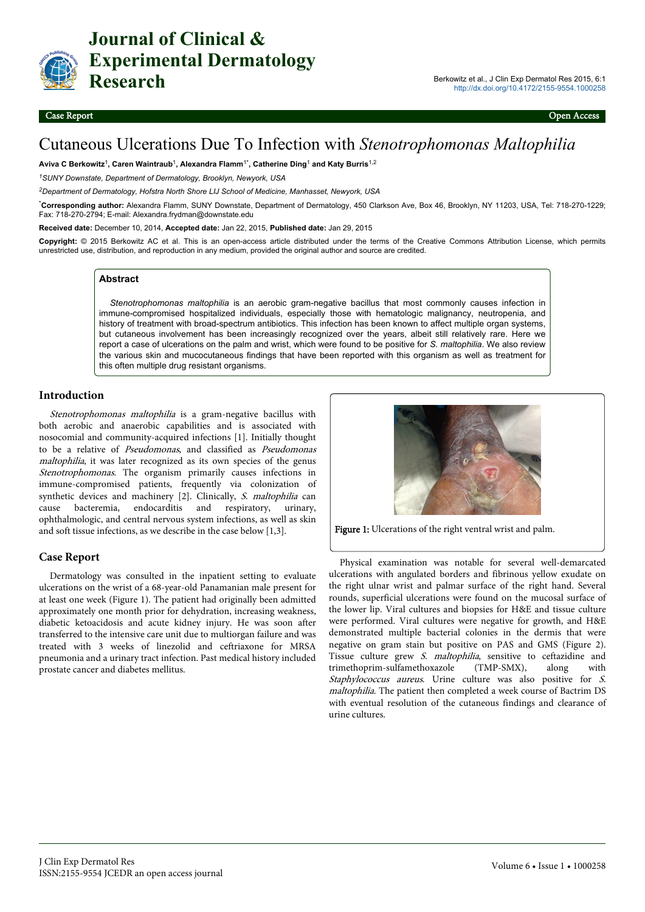

**Journal of Clinical & Experimental Dermatology Research** Berkowitz et al., J Clin Exp Dermatol Res 2015, 6:1

# Cutaneous Ulcerations Due To Infection with *Stenotrophomonas Maltophilia*

**Aviva C Berkowitz**<sup>1</sup> **, Caren Waintraub**<sup>1</sup> **, Alexandra Flamm**1\***, Catherine Ding**<sup>1</sup>  **and Katy Burris**1,2

*<sup>1</sup>SUNY Downstate, Department of Dermatology, Brooklyn, Newyork, USA*

*<sup>2</sup>Department of Dermatology, Hofstra North Shore LIJ School of Medicine, Manhasset, Newyork, USA*

\***Corresponding author:** Alexandra Flamm, SUNY Downstate, Department of Dermatology, 450 Clarkson Ave, Box 46, Brooklyn, NY 11203, USA, Tel: 718-270-1229; Fax: 718-270-2794; E-mail: Alexandra.frydman@downstate.edu

**Received date:** December 10, 2014, **Accepted date:** Jan 22, 2015, **Published date:** Jan 29, 2015

**Copyright:** © 2015 Berkowitz AC et al. This is an open-access article distributed under the terms of the Creative Commons Attribution License, which permits unrestricted use, distribution, and reproduction in any medium, provided the original author and source are credited.

#### **Abstract**

*Stenotrophomonas maltophilia* is an aerobic gram-negative bacillus that most commonly causes infection in immune-compromised hospitalized individuals, especially those with hematologic malignancy, neutropenia, and history of treatment with broad-spectrum antibiotics. This infection has been known to affect multiple organ systems, but cutaneous involvement has been increasingly recognized over the years, albeit still relatively rare. Here we report a case of ulcerations on the palm and wrist, which were found to be positive for *S. maltophilia*. We also review the various skin and mucocutaneous findings that have been reported with this organism as well as treatment for this often multiple drug resistant organisms.

#### **Introduction**

Stenotrophomonas maltophilia is a gram-negative bacillus with both aerobic and anaerobic capabilities and is associated with nosocomial and community-acquired infections [1]. Initially thought to be a relative of Pseudomonas, and classified as Pseudomonas maltophilia, it was later recognized as its own species of the genus Stenotrophomonas. The organism primarily causes infections in immune-compromised patients, frequently via colonization of synthetic devices and machinery [2]. Clinically, S. maltophilia can cause bacteremia, endocarditis and respiratory, urinary, ophthalmologic, and central nervous system infections, as well as skin and soft tissue infections, as we describe in the case below [1,3].

#### **Case Report**

Dermatology was consulted in the inpatient setting to evaluate ulcerations on the wrist of a 68-year-old Panamanian male present for at least one week (Figure 1). The patient had originally been admitted approximately one month prior for dehydration, increasing weakness, diabetic ketoacidosis and acute kidney injury. He was soon after transferred to the intensive care unit due to multiorgan failure and was treated with 3 weeks of linezolid and ceftriaxone for MRSA pneumonia and a urinary tract infection. Past medical history included prostate cancer and diabetes mellitus.



Figure 1: Ulcerations of the right ventral wrist and palm.

Physical examination was notable for several well-demarcated ulcerations with angulated borders and fibrinous yellow exudate on the right ulnar wrist and palmar surface of the right hand. Several rounds, superficial ulcerations were found on the mucosal surface of the lower lip. Viral cultures and biopsies for H&E and tissue culture were performed. Viral cultures were negative for growth, and H&E demonstrated multiple bacterial colonies in the dermis that were negative on gram stain but positive on PAS and GMS (Figure 2). Tissue culture grew S. maltophilia, sensitive to ceftazidine and trimethoprim-sulfamethoxazole (TMP-SMX), along with Staphylococcus aureus. Urine culture was also positive for S. maltophilia. The patient then completed a week course of Bactrim DS with eventual resolution of the cutaneous findings and clearance of urine cultures.